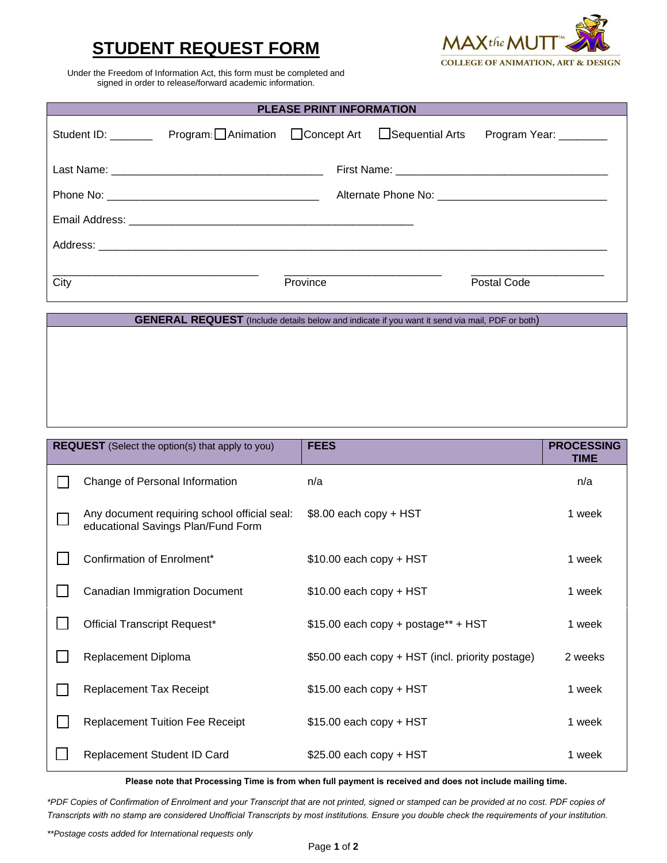## **STUDENT REQUEST FORM**



Under the Freedom of Information Act, this form must be completed and signed in order to release/forward academic information.

| <b>PLEASE PRINT INFORMATION</b>                                                                       |                                                      |          |  |                       |  |
|-------------------------------------------------------------------------------------------------------|------------------------------------------------------|----------|--|-----------------------|--|
| Student ID: _______                                                                                   | Program: Animation <b>Depart Act</b> Sequential Arts |          |  | Program Year: _______ |  |
|                                                                                                       |                                                      |          |  |                       |  |
|                                                                                                       |                                                      |          |  |                       |  |
|                                                                                                       |                                                      |          |  |                       |  |
|                                                                                                       |                                                      |          |  |                       |  |
| City                                                                                                  |                                                      | Province |  | Postal Code           |  |
| <b>GENERAL REQUEST</b> (Include details below and indicate if you want it send via mail, PDF or both) |                                                      |          |  |                       |  |

| <b>REQUEST</b> (Select the option(s) that apply to you)                            | <b>FEES</b>                                      | <b>PROCESSING</b><br><b>TIME</b> |
|------------------------------------------------------------------------------------|--------------------------------------------------|----------------------------------|
| Change of Personal Information                                                     | n/a                                              | n/a                              |
| Any document requiring school official seal:<br>educational Savings Plan/Fund Form | \$8.00 each copy + HST                           | 1 week                           |
| Confirmation of Enrolment*                                                         | $$10.00$ each copy + HST                         | 1 week                           |
| Canadian Immigration Document                                                      | $$10.00$ each copy + HST                         | 1 week                           |
| <b>Official Transcript Request*</b>                                                | $$15.00$ each copy + postage** + HST             | 1 week                           |
| Replacement Diploma                                                                | \$50.00 each copy + HST (incl. priority postage) | 2 weeks                          |
| <b>Replacement Tax Receipt</b>                                                     | $$15.00$ each copy + HST                         | 1 week                           |
| <b>Replacement Tuition Fee Receipt</b>                                             | $$15.00$ each copy + HST                         | 1 week                           |
| Replacement Student ID Card                                                        | $$25.00$ each copy + HST                         | 1 week                           |

**Please note that Processing Time is from when full payment is received and does not include mailing time.** 

*\*PDF Copies of Confirmation of Enrolment and your Transcript that are not printed, signed or stamped can be provided at no cost. PDF copies of Transcripts with no stamp are considered Unofficial Transcripts by most institutions. Ensure you double check the requirements of your institution.*

*\*\*Postage costs added for International requests only*